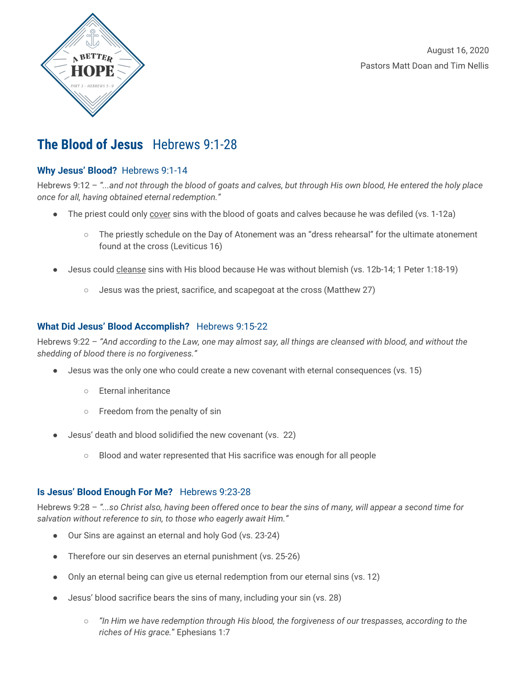

August 16, 2020 Pastors Matt Doan and Tim Nellis

# **The Blood of Jesus** Hebrews 9:1-28

### **Why Jesus' Blood?** Hebrews 9:1-14

Hebrews 9:12 - "...and not through the blood of goats and calves, but through His own blood, He entered the holy place *once for all, having obtained eternal redemption."*

- The priest could only cover sins with the blood of goats and calves because he was defiled (vs. 1-12a)
	- The priestly schedule on the Day of Atonement was an "dress rehearsal" for the ultimate atonement found at the cross (Leviticus 16)
- Jesus could cleanse sins with His blood because He was without blemish (vs. 12b-14; 1 Peter 1:18-19)
	- Jesus was the priest, sacrifice, and scapegoat at the cross (Matthew 27)

### **What Did Jesus' Blood Accomplish?** Hebrews 9:15-22

Hebrews 9:22 - "And according to the Law, one may almost say, all things are cleansed with blood, and without the *shedding of blood there is no forgiveness."*

- Jesus was the only one who could create a new covenant with eternal consequences (vs. 15)
	- Eternal inheritance
	- Freedom from the penalty of sin
- Jesus' death and blood solidified the new covenant (vs. 22)
	- Blood and water represented that His sacrifice was enough for all people

### **Is Jesus' Blood Enough For Me?** Hebrews 9:23-28

Hebrews 9:28 - "...so Christ also, having been offered once to bear the sins of many, will appear a second time for *salvation without reference to sin, to those who eagerly await Him."*

- Our Sins are against an eternal and holy God (vs. 23-24)
- Therefore our sin deserves an eternal punishment (vs. 25-26)
- Only an eternal being can give us eternal redemption from our eternal sins (vs. 12)
- Jesus' blood sacrifice bears the sins of many, including your sin (vs. 28)
	- *"In Him we have redemption through His blood, the forgiveness of our trespasses, according to the riches of His grace.*" Ephesians 1:7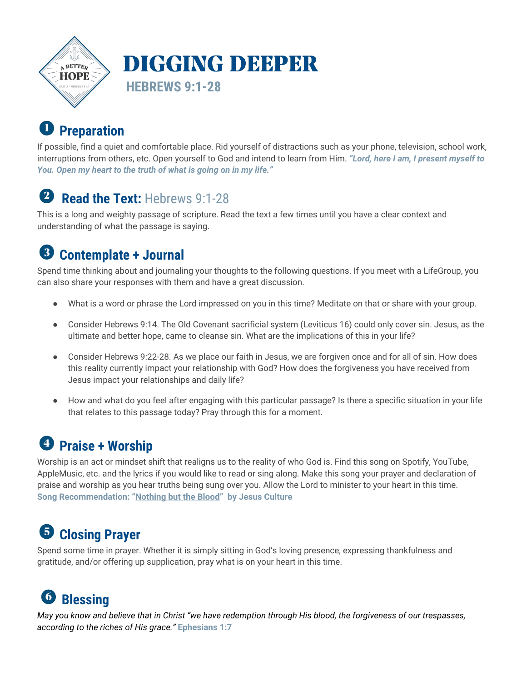

### $\mathbf{D}$ **Preparation**

If possible, find a quiet and comfortable place. Rid yourself of distractions such as your phone, television, school work, interruptions from others, etc. Open yourself to God and intend to learn from Him. *"Lord, here I am, I present myself to You. Open my heart to the truth of what is going on in my life."*

#### $\left( 2\right)$ **Read the Text:** Hebrews 9:1-28

This is a long and weighty passage of scripture. Read the text a few times until you have a clear context and understanding of what the passage is saying.

#### $\left(3\right)$ **Contemplate + Journal**

Spend time thinking about and journaling your thoughts to the following questions. If you meet with a LifeGroup, you can also share your responses with them and have a great discussion.

- What is a word or phrase the Lord impressed on you in this time? Meditate on that or share with your group.
- Consider Hebrews 9:14. The Old Covenant sacrificial system (Leviticus 16) could only cover sin. Jesus, as the ultimate and better hope, came to cleanse sin. What are the implications of this in your life?
- Consider Hebrews 9:22-28. As we place our faith in Jesus, we are forgiven once and for all of sin. How does this reality currently impact your relationship with God? How does the forgiveness you have received from Jesus impact your relationships and daily life?
- How and what do you feel after engaging with this particular passage? Is there a specific situation in your life that relates to this passage today? Pray through this for a moment.

# **Praise + Worship**

Worship is an act or mindset shift that realigns us to the reality of who God is. Find this song on Spotify, YouTube, AppleMusic, etc. and the lyrics if you would like to read or sing along. Make this song your prayer and declaration of praise and worship as you hear truths being sung over you. Allow the Lord to minister to your heart in this time. **Song Recommendation: "[Nothing](https://www.youtube.com/watch?v=VdwS9dBCiII) but the Blood" by Jesus Culture**

### **Closing Prayer** 6

Spend some time in prayer. Whether it is simply sitting in God's loving presence, expressing thankfulness and gratitude, and/or offering up supplication, pray what is on your heart in this time.

# **Blessing**

May you know and believe that in Christ "we have redemption through His blood, the forgiveness of our trespasses, *according to the riches of His grace."* **Ephesians 1:7**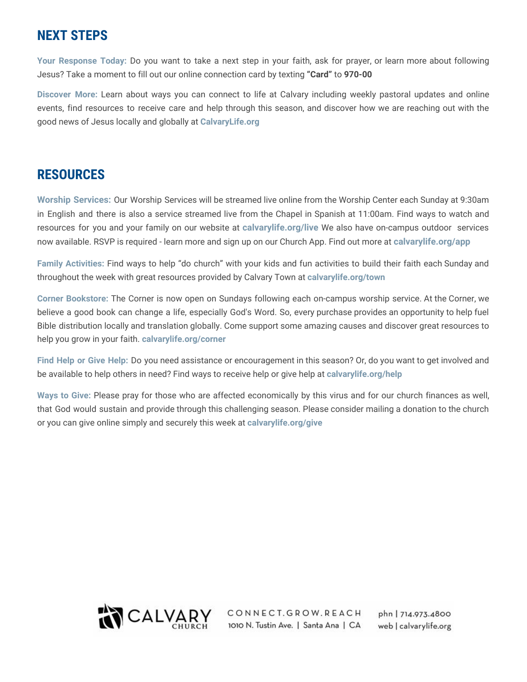## **NEXT STEPS**

**Your Response Today:** Do you want to take a next step in your faith, ask for prayer, or learn more about following Jesus? Take a moment to fill out our online connection card by texting **"Card"** to **970-00**

**Discover More:** Learn about ways you can connect to life at Calvary including weekly pastoral updates and online events, find resources to receive care and help through this season, and discover how we are reaching out with the good news of Jesus locally and globally at **CalvaryLife.org**

## **RESOURCES**

**Worship Services:** Our Worship Services will be streamed live online from the Worship Center each Sunday at 9:30am in English and there is also a service streamed live from the Chapel in Spanish at 11:00am. Find ways to watch and resources for you and your family on our website at **calvarylife.org/live** We also have on-campus outdoor services now available. RSVP is required - learn more and sign up on our Church App. Find out more at **calvarylife.org/app**

**Family Activities:** Find ways to help "do church" with your kids and fun activities to build their faith each Sunday and throughout the week with great resources provided by Calvary Town at **calvarylife.org/town**

**Corner Bookstore:** The Corner is now open on Sundays following each on-campus worship service. At the Corner, we believe a good book can change a life, especially God's Word. So, every purchase provides an opportunity to help fuel Bible distribution locally and translation globally. Come support some amazing causes and discover great resources to help you grow in your faith. **calvarylife.org/corner**

**Find Help or Give Help:** Do you need assistance or encouragement in this season? Or, do you want to get involved and be available to help others in need? Find ways to receive help or give help at **calvarylife.org/help**

**Ways to Give:** Please pray for those who are affected economically by this virus and for our church finances as well, that God would sustain and provide through this challenging season. Please consider mailing a donation to the church or you can give online simply and securely this week at **calvarylife.org/give**



CONNECT.GROW.REACH 1010 N. Tustin Ave. | Santa Ana | CA

phn | 714.973.4800 web | calvarylife.org